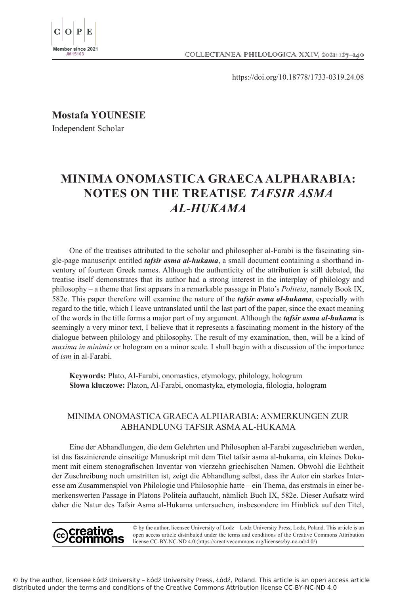

https://doi.org/10.18778/1733-0319.24.08

**Mostafa YOUNESIE**

Independent Scholar

# **MINIMA ONOMASTICA GRAECA ALPHARABIA: NOTES ON THE TREATISE** *TAFSIR ASMA AL-HUKAMA*

One of the treatises attributed to the scholar and philosopher al-Farabi is the fascinating single-page manuscript entitled *tafsir asma al-hukama*, a small document containing a shorthand inventory of fourteen Greek names. Although the authenticity of the attribution is still debated, the treatise itself demonstrates that its author had a strong interest in the interplay of philology and philosophy – a theme that first appears in a remarkable passage in Plato's *Politeia*, namely Book IX, 582e. This paper therefore will examine the nature of the *tafsir asma al-hukama*, especially with regard to the title, which I leave untranslated until the last part of the paper, since the exact meaning of the words in the title forms a major part of my argument. Although the *tafsir asma al-hukama* is seemingly a very minor text, I believe that it represents a fascinating moment in the history of the dialogue between philology and philosophy. The result of my examination, then, will be a kind of *maxima in minimis* or hologram on a minor scale. I shall begin with a discussion of the importance of *ism* in al-Farabi.

**Keywords:** Plato, Al-Farabi, onomastics, etymology, philology, hologram **Słowa kluczowe:** Platon, Al-Farabi, onomastyka, etymologia, filologia, hologram

# MINIMA ONOMASTICA GRAECA ALPHARABIA: ANMERKUNGEN ZUR ABHANDLUNG TAFSIR ASMA AL-HUKAMA

Eine der Abhandlungen, die dem Gelehrten und Philosophen al-Farabi zugeschrieben werden, ist das faszinierende einseitige Manuskript mit dem Titel tafsir asma al-hukama, ein kleines Dokument mit einem stenografischen Inventar von vierzehn griechischen Namen. Obwohl die Echtheit der Zuschreibung noch umstritten ist, zeigt die Abhandlung selbst, dass ihr Autor ein starkes Interesse am Zusammenspiel von Philologie und Philosophie hatte – ein Thema, das erstmals in einer bemerkenswerten Passage in Platons Politeia auftaucht, nämlich Buch IX, 582e. Dieser Aufsatz wird daher die Natur des Tafsir Asma al-Hukama untersuchen, insbesondere im Hinblick auf den Titel,



© by the author, licensee University of Lodz – Lodz University Press, Lodz, Poland. This article is an open access article distributed under the terms and conditions of the Creative Commons Attribution license CC-BY-NC-ND 4.0 (https://creativecommons.org/licenses/by-nc-nd/4.0/)

© by the author, licensee Łódź University – Łódź University Press, Łódź, Poland. This article is an open access article distributed under the terms and conditions of the Creative Commons Attribution license CC-BY-NC-ND 4.0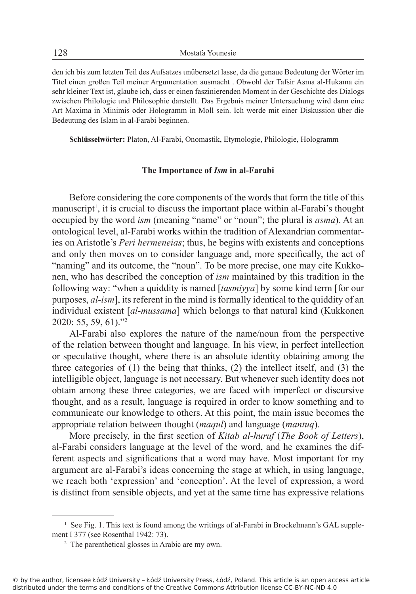den ich bis zum letzten Teil des Aufsatzes unübersetzt lasse, da die genaue Bedeutung der Wörter im Titel einen großen Teil meiner Argumentation ausmacht . Obwohl der Tafsir Asma al-Hukama ein sehr kleiner Text ist, glaube ich, dass er einen faszinierenden Moment in der Geschichte des Dialogs zwischen Philologie und Philosophie darstellt. Das Ergebnis meiner Untersuchung wird dann eine Art Maxima in Minimis oder Hologramm in Moll sein. Ich werde mit einer Diskussion über die Bedeutung des Islam in al-Farabi beginnen.

**Schlüsselwörter:** Platon, Al-Farabi, Onomastik, Etymologie, Philologie, Hologramm

## **The Importance of** *Ism* **in al-Farabi**

Before considering the core components of the words that form the title of this manuscript<sup>1</sup>, it is crucial to discuss the important place within al-Farabi's thought occupied by the word *ism* (meaning "name" or "noun"; the plural is *asma*). At an ontological level, al-Farabi works within the tradition of Alexandrian commentaries on Aristotle's *Peri hermeneias*; thus, he begins with existents and conceptions and only then moves on to consider language and, more specifically, the act of "naming" and its outcome, the "noun". To be more precise, one may cite Kukkonen, who has described the conception of *ism* maintained by this tradition in the following way: "when a quiddity is named [*tasmiyya*] by some kind term [for our purposes, *al-ism*], its referent in the mind is formally identical to the quiddity of an individual existent [*al-mussama*] which belongs to that natural kind (Kukkonen 2020: 55, 59, 61)."<sup>2</sup>

Al-Farabi also explores the nature of the name/noun from the perspective of the relation between thought and language. In his view, in perfect intellection or speculative thought, where there is an absolute identity obtaining among the three categories of (1) the being that thinks, (2) the intellect itself, and (3) the intelligible object, language is not necessary. But whenever such identity does not obtain among these three categories, we are faced with imperfect or discursive thought, and as a result, language is required in order to know something and to communicate our knowledge to others. At this point, the main issue becomes the appropriate relation between thought (*maqul*) and language (*mantuq*).

More precisely, in the first section of *Kitab al-huruf* (*The Book of Letters*), al-Farabi considers language at the level of the word, and he examines the different aspects and significations that a word may have. Most important for my argument are al-Farabi's ideas concerning the stage at which, in using language, we reach both 'expression' and 'conception'. At the level of expression, a word is distinct from sensible objects, and yet at the same time has expressive relations

<sup>&</sup>lt;sup>1</sup> See Fig. 1. This text is found among the writings of al-Farabi in Brockelmann's GAL supplement I 377 (see Rosenthal 1942: 73).

<sup>&</sup>lt;sup>2</sup> The parenthetical glosses in Arabic are my own.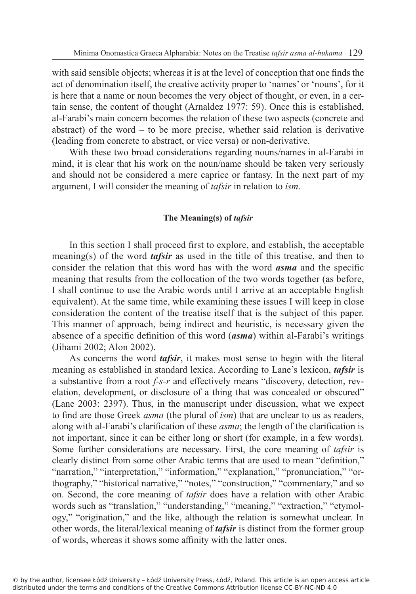with said sensible objects; whereas it is at the level of conception that one finds the act of denomination itself, the creative activity proper to 'names' or 'nouns', for it is here that a name or noun becomes the very object of thought, or even, in a certain sense, the content of thought (Arnaldez 1977: 59). Once this is established, al-Farabi's main concern becomes the relation of these two aspects (concrete and abstract) of the word – to be more precise, whether said relation is derivative (leading from concrete to abstract, or vice versa) or non-derivative.

With these two broad considerations regarding nouns/names in al-Farabi in mind, it is clear that his work on the noun/name should be taken very seriously and should not be considered a mere caprice or fantasy. In the next part of my argument, I will consider the meaning of *tafsir* in relation to *ism*.

## **The Meaning(s) of** *tafsir*

In this section I shall proceed first to explore, and establish, the acceptable meaning(s) of the word *tafsir* as used in the title of this treatise, and then to consider the relation that this word has with the word *asma* and the specific meaning that results from the collocation of the two words together (as before, I shall continue to use the Arabic words until I arrive at an acceptable English equivalent). At the same time, while examining these issues I will keep in close consideration the content of the treatise itself that is the subject of this paper. This manner of approach, being indirect and heuristic, is necessary given the absence of a specific definition of this word (*asma*) within al-Farabi's writings (Jihami 2002; Alon 2002).

As concerns the word *tafsir*, it makes most sense to begin with the literal meaning as established in standard lexica. According to Lane's lexicon, *tafsir* is a substantive from a root *f-s-r* and effectively means "discovery, detection, revelation, development, or disclosure of a thing that was concealed or obscured" (Lane 2003: 2397). Thus, in the manuscript under discussion, what we expect to find are those Greek *asma* (the plural of *ism*) that are unclear to us as readers, along with al-Farabi's clarification of these *asma*; the length of the clarification is not important, since it can be either long or short (for example, in a few words). Some further considerations are necessary. First, the core meaning of *tafsir* is clearly distinct from some other Arabic terms that are used to mean "definition," "narration," "interpretation," "information," "explanation," "pronunciation," "orthography," "historical narrative," "notes," "construction," "commentary," and so on. Second, the core meaning of *tafsir* does have a relation with other Arabic words such as "translation," "understanding," "meaning," "extraction," "etymology," "origination," and the like, although the relation is somewhat unclear. In other words, the literal/lexical meaning of *tafsir* is distinct from the former group of words, whereas it shows some affinity with the latter ones.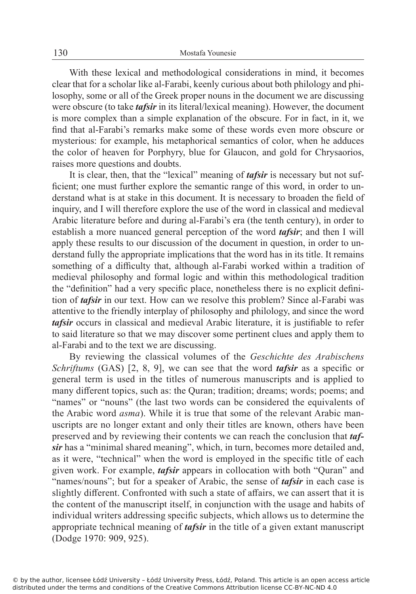With these lexical and methodological considerations in mind, it becomes clear that for a scholar like al-Farabi, keenly curious about both philology and philosophy, some or all of the Greek proper nouns in the document we are discussing were obscure (to take *tafsir* in its literal/lexical meaning). However, the document is more complex than a simple explanation of the obscure. For in fact, in it, we find that al-Farabi's remarks make some of these words even more obscure or mysterious: for example, his metaphorical semantics of color, when he adduces the color of heaven for Porphyry, blue for Glaucon, and gold for Chrysaorios, raises more questions and doubts.

It is clear, then, that the "lexical" meaning of *tafsir* is necessary but not sufficient; one must further explore the semantic range of this word, in order to understand what is at stake in this document. It is necessary to broaden the field of inquiry, and I will therefore explore the use of the word in classical and medieval Arabic literature before and during al-Farabi's era (the tenth century), in order to establish a more nuanced general perception of the word *tafsir*; and then I will apply these results to our discussion of the document in question, in order to understand fully the appropriate implications that the word has in its title. It remains something of a difficulty that, although al-Farabi worked within a tradition of medieval philosophy and formal logic and within this methodological tradition the "definition" had a very specific place, nonetheless there is no explicit definition of *tafsir* in our text. How can we resolve this problem? Since al-Farabi was attentive to the friendly interplay of philosophy and philology, and since the word *tafsir* occurs in classical and medieval Arabic literature, it is justifiable to refer to said literature so that we may discover some pertinent clues and apply them to al-Farabi and to the text we are discussing.

By reviewing the classical volumes of the *Geschichte des Arabischens Schriftums* (GAS) [2, 8, 9], we can see that the word *tafsir* as a specific or general term is used in the titles of numerous manuscripts and is applied to many different topics, such as: the Quran; tradition; dreams; words; poems; and "names" or "nouns" (the last two words can be considered the equivalents of the Arabic word *asma*). While it is true that some of the relevant Arabic manuscripts are no longer extant and only their titles are known, others have been preserved and by reviewing their contents we can reach the conclusion that *tafsir* has a "minimal shared meaning", which, in turn, becomes more detailed and, as it were, "technical" when the word is employed in the specific title of each given work. For example, *tafsir* appears in collocation with both "Quran" and "names/nouns"; but for a speaker of Arabic, the sense of *tafsir* in each case is slightly different. Confronted with such a state of affairs, we can assert that it is the content of the manuscript itself, in conjunction with the usage and habits of individual writers addressing specific subjects, which allows us to determine the appropriate technical meaning of *tafsir* in the title of a given extant manuscript (Dodge 1970: 909, 925).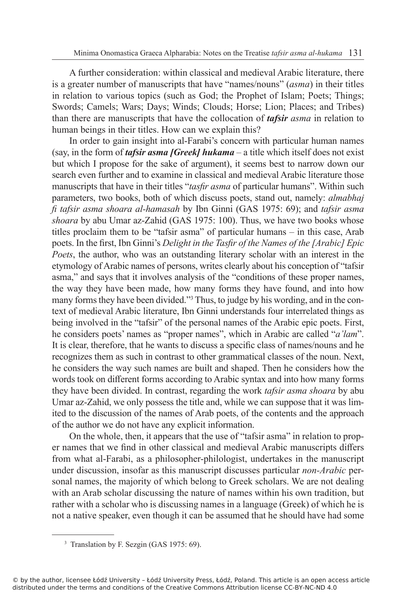A further consideration: within classical and medieval Arabic literature, there is a greater number of manuscripts that have "names/nouns" (*asma*) in their titles in relation to various topics (such as God; the Prophet of Islam; Poets; Things; Swords; Camels; Wars; Days; Winds; Clouds; Horse; Lion; Places; and Tribes) than there are manuscripts that have the collocation of *tafsir asma* in relation to human beings in their titles. How can we explain this?

In order to gain insight into al-Farabi's concern with particular human names (say, in the form of *tafsir asma [Greek] hukama* – a title which itself does not exist but which I propose for the sake of argument), it seems best to narrow down our search even further and to examine in classical and medieval Arabic literature those manuscripts that have in their titles "*tasfir asma* of particular humans". Within such parameters, two books, both of which discuss poets, stand out, namely: *almabhaj fi tafsir asma shoara al-hamasah* by Ibn Ginni (GAS 1975: 69); and *tafsir asma shoara* by abu Umar az-Zahid (GAS 1975: 100). Thus, we have two books whose titles proclaim them to be "tafsir asma" of particular humans – in this case, Arab poets. In the first, Ibn Ginni's *Delight in the Tasfir of the Names of the [Arabic] Epic Poets*, the author, who was an outstanding literary scholar with an interest in the etymology of Arabic names of persons, writes clearly about his conception of "tafsir asma," and says that it involves analysis of the "conditions of these proper names, the way they have been made, how many forms they have found, and into how many forms they have been divided."<sup>3</sup> Thus, to judge by his wording, and in the context of medieval Arabic literature, Ibn Ginni understands four interrelated things as being involved in the "tafsir" of the personal names of the Arabic epic poets. First, he considers poets' names as "proper names", which in Arabic are called "*a'lam*". It is clear, therefore, that he wants to discuss a specific class of names/nouns and he recognizes them as such in contrast to other grammatical classes of the noun. Next, he considers the way such names are built and shaped. Then he considers how the words took on different forms according to Arabic syntax and into how many forms they have been divided. In contrast, regarding the work *tafsir asma shoara* by abu Umar az-Zahid, we only possess the title and, while we can suppose that it was limited to the discussion of the names of Arab poets, of the contents and the approach of the author we do not have any explicit information.

On the whole, then, it appears that the use of "tafsir asma" in relation to proper names that we find in other classical and medieval Arabic manuscripts differs from what al-Farabi, as a philosopher-philologist, undertakes in the manuscript under discussion, insofar as this manuscript discusses particular *non-Arabic* personal names, the majority of which belong to Greek scholars. We are not dealing with an Arab scholar discussing the nature of names within his own tradition, but rather with a scholar who is discussing names in a language (Greek) of which he is not a native speaker, even though it can be assumed that he should have had some

<sup>3</sup> Translation by F. Sezgin (GAS 1975: 69).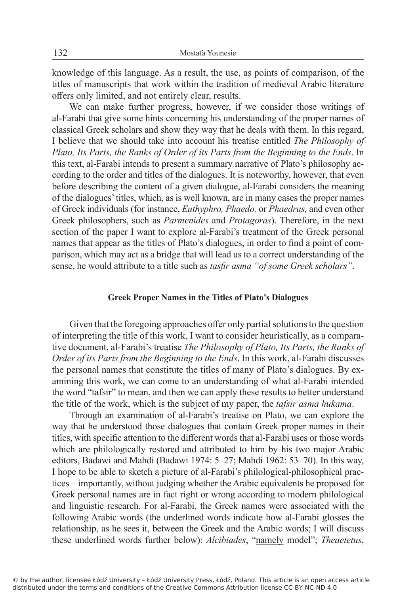knowledge of this language. As a result, the use, as points of comparison, of the titles of manuscripts that work within the tradition of medieval Arabic literature offers only limited, and not entirely clear, results.

We can make further progress, however, if we consider those writings of al-Farabi that give some hints concerning his understanding of the proper names of classical Greek scholars and show they way that he deals with them. In this regard, I believe that we should take into account his treatise entitled *The Philosophy of Plato, Its Parts, the Ranks of Order of its Parts from the Beginning to the Ends*. In this text, al-Farabi intends to present a summary narrative of Plato's philosophy according to the order and titles of the dialogues. It is noteworthy, however, that even before describing the content of a given dialogue, al-Farabi considers the meaning of the dialogues' titles, which, as is well known, are in many cases the proper names of Greek individuals (for instance, *Euthyphro, Phaedo,* or *Phaedrus,* and even other Greek philosophers, such as *Parmenides* and *Protagoras*). Therefore, in the next section of the paper I want to explore al-Farabi's treatment of the Greek personal names that appear as the titles of Plato's dialogues, in order to find a point of comparison, which may act as a bridge that will lead us to a correct understanding of the sense, he would attribute to a title such as *tasfir asma "of some Greek scholars"*.

# **Greek Proper Names in the Titles of Plato's Dialogues**

Given that the foregoing approaches offer only partial solutions to the question of interpreting the title of this work, I want to consider heuristically, as a comparative document, al-Farabi's treatise *The Philosophy of Plato, Its Parts, the Ranks of Order of its Parts from the Beginning to the Ends*. In this work, al-Farabi discusses the personal names that constitute the titles of many of Plato's dialogues. By examining this work, we can come to an understanding of what al-Farabi intended the word "tafsir" to mean, and then we can apply these results to better understand the title of the work, which is the subject of my paper, the *tafsir asma hukama*.

Through an examination of al-Farabi's treatise on Plato, we can explore the way that he understood those dialogues that contain Greek proper names in their titles, with specific attention to the different words that al-Farabi uses or those words which are philologically restored and attributed to him by his two major Arabic editors, Badawi and Mahdi (Badawi 1974: 5–27; Mahdi 1962: 53–70). In this way, I hope to be able to sketch a picture of al-Farabi's philological-philosophical practices – importantly, without judging whether the Arabic equivalents he proposed for Greek personal names are in fact right or wrong according to modern philological and linguistic research. For al-Farabi, the Greek names were associated with the following Arabic words (the underlined words indicate how al-Farabi glosses the relationship, as he sees it, between the Greek and the Arabic words; I will discuss these underlined words further below): *Alcibiades*, "namely model"; *Theaetetus*,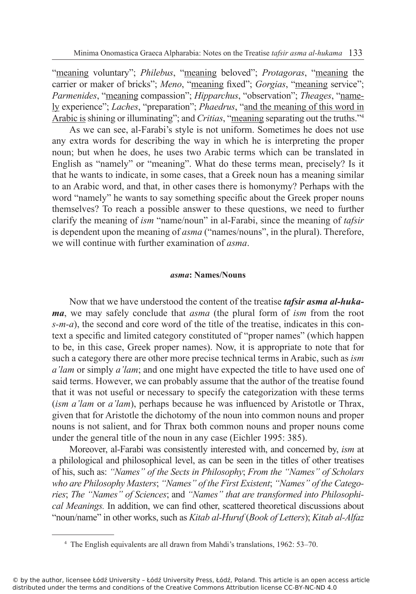"meaning voluntary"; *Philebus*, "meaning beloved"; *Protagoras*, "meaning the carrier or maker of bricks"; *Meno*, "meaning fixed"; *Gorgias*, "meaning service"; *Parmenides*, "meaning compassion"; *Hipparchus*, "observation"; *Theages*, "namely experience"; *Laches*, "preparation"; *Phaedrus*, "and the meaning of this word in Arabic is shining or illuminating"; and *Critias*, "meaning separating out the truths."<sup>4</sup>

As we can see, al-Farabi's style is not uniform. Sometimes he does not use any extra words for describing the way in which he is interpreting the proper noun; but when he does, he uses two Arabic terms which can be translated in English as "namely" or "meaning". What do these terms mean, precisely? Is it that he wants to indicate, in some cases, that a Greek noun has a meaning similar to an Arabic word, and that, in other cases there is homonymy? Perhaps with the word "namely" he wants to say something specific about the Greek proper nouns themselves? To reach a possible answer to these questions, we need to further clarify the meaning of *ism* "name/noun" in al-Farabi, since the meaning of *tafsir* is dependent upon the meaning of *asma* ("names/nouns", in the plural). Therefore, we will continue with further examination of *asma*.

#### *asma***: Names/Nouns**

Now that we have understood the content of the treatise *tafsir asma al-hukama*, we may safely conclude that *asma* (the plural form of *ism* from the root *s-m-a*), the second and core word of the title of the treatise, indicates in this context a specific and limited category constituted of "proper names" (which happen to be, in this case, Greek proper names). Now, it is appropriate to note that for such a category there are other more precise technical terms in Arabic, such as *ism a'lam* or simply *a'lam*; and one might have expected the title to have used one of said terms. However, we can probably assume that the author of the treatise found that it was not useful or necessary to specify the categorization with these terms (*ism a'lam* or *a'lam*), perhaps because he was influenced by Aristotle or Thrax, given that for Aristotle the dichotomy of the noun into common nouns and proper nouns is not salient, and for Thrax both common nouns and proper nouns come under the general title of the noun in any case (Eichler 1995: 385).

Moreover, al-Farabi was consistently interested with, and concerned by, *ism* at a philological and philosophical level, as can be seen in the titles of other treatises of his, such as: *"Names" of the Sects in Philosophy*; *From the "Names" of Scholars who are Philosophy Masters*; *"Names" of the First Existent*; *"Names" of the Categories*; *The "Names" of Sciences*; and *"Names" that are transformed into Philosophical Meanings.* In addition, we can find other, scattered theoretical discussions about "noun/name" in other works, such as *Kitab al-Huruf* (*Book of Letters*); *Kitab al-Alfaz* 

<sup>4</sup> The English equivalents are all drawn from Mahdi's translations, 1962: 53–70.

<sup>©</sup> by the author, licensee Łódź University – Łódź University Press, Łódź, Poland. This article is an open access article distributed under the terms and conditions of the Creative Commons Attribution license CC-BY-NC-ND 4.0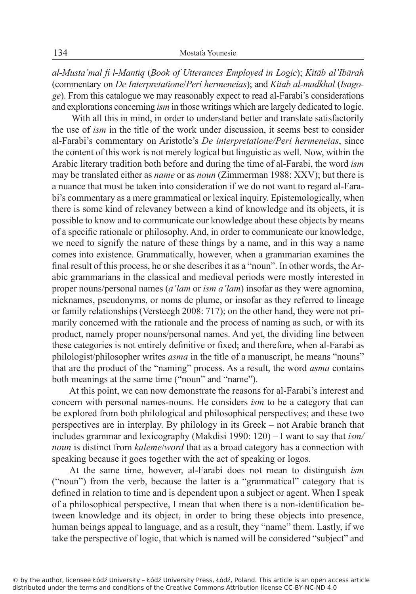*al-Musta'mal fi l-Mantiq* (*Book of Utterances Employed in Logic*); *Kitāb al'Ibārah*  (commentary on *De Interpretatione*/*Peri hermeneias*); and *Kitab al-madkhal* (*Isagoge*). From this catalogue we may reasonably expect to read al-Farabi's considerations and explorations concerning *ism* in those writings which are largely dedicated to logic.

 With all this in mind, in order to understand better and translate satisfactorily the use of *ism* in the title of the work under discussion, it seems best to consider al-Farabi's commentary on Aristotle's *De interpretatione/Peri hermeneias*, since the content of this work is not merely logical but linguistic as well. Now, within the Arabic literary tradition both before and during the time of al-Farabi, the word *ism* may be translated either as *name* or as *noun* (Zimmerman 1988: XXV); but there is a nuance that must be taken into consideration if we do not want to regard al-Farabi's commentary as a mere grammatical or lexical inquiry. Epistemologically, when there is some kind of relevancy between a kind of knowledge and its objects, it is possible to know and to communicate our knowledge about these objects by means of a specific rationale or philosophy. And, in order to communicate our knowledge, we need to signify the nature of these things by a name, and in this way a name comes into existence. Grammatically, however, when a grammarian examines the final result of this process, he or she describes it as a "noun". In other words, the Arabic grammarians in the classical and medieval periods were mostly interested in proper nouns/personal names (*a'lam* or *ism a'lam*) insofar as they were agnomina, nicknames, pseudonyms, or noms de plume, or insofar as they referred to lineage or family relationships (Versteegh 2008: 717); on the other hand, they were not primarily concerned with the rationale and the process of naming as such, or with its product, namely proper nouns/personal names. And yet, the dividing line between these categories is not entirely definitive or fixed; and therefore, when al-Farabi as philologist/philosopher writes *asma* in the title of a manuscript, he means "nouns" that are the product of the "naming" process. As a result, the word *asma* contains both meanings at the same time ("noun" and "name").

At this point, we can now demonstrate the reasons for al-Farabi's interest and concern with personal names-nouns. He considers *ism* to be a category that can be explored from both philological and philosophical perspectives; and these two perspectives are in interplay. By philology in its Greek – not Arabic branch that includes grammar and lexicography (Makdisi 1990: 120) – I want to say that *ism/ noun* is distinct from *kaleme*/*word* that as a broad category has a connection with speaking because it goes together with the act of speaking or logos.

At the same time, however, al-Farabi does not mean to distinguish *ism* ("noun") from the verb, because the latter is a "grammatical" category that is defined in relation to time and is dependent upon a subject or agent. When I speak of a philosophical perspective, I mean that when there is a non-identification between knowledge and its object, in order to bring these objects into presence, human beings appeal to language, and as a result, they "name" them. Lastly, if we take the perspective of logic, that which is named will be considered "subject" and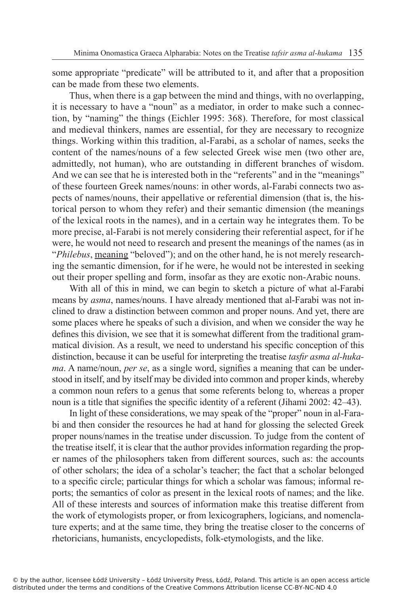some appropriate "predicate" will be attributed to it, and after that a proposition can be made from these two elements.

Thus, when there is a gap between the mind and things, with no overlapping, it is necessary to have a "noun" as a mediator, in order to make such a connection, by "naming" the things (Eichler 1995: 368). Therefore, for most classical and medieval thinkers, names are essential, for they are necessary to recognize things. Working within this tradition, al-Farabi, as a scholar of names, seeks the content of the names/nouns of a few selected Greek wise men (two other are, admittedly, not human), who are outstanding in different branches of wisdom. And we can see that he is interested both in the "referents" and in the "meanings" of these fourteen Greek names/nouns: in other words, al-Farabi connects two aspects of names/nouns, their appellative or referential dimension (that is, the historical person to whom they refer) and their semantic dimension (the meanings of the lexical roots in the names), and in a certain way he integrates them. To be more precise, al-Farabi is not merely considering their referential aspect, for if he were, he would not need to research and present the meanings of the names (as in "*Philebus*, meaning "beloved"); and on the other hand, he is not merely researching the semantic dimension, for if he were, he would not be interested in seeking out their proper spelling and form, insofar as they are exotic non-Arabic nouns.

With all of this in mind, we can begin to sketch a picture of what al-Farabi means by *asma*, names/nouns. I have already mentioned that al-Farabi was not inclined to draw a distinction between common and proper nouns. And yet, there are some places where he speaks of such a division, and when we consider the way he defines this division, we see that it is somewhat different from the traditional grammatical division. As a result, we need to understand his specific conception of this distinction, because it can be useful for interpreting the treatise *tasfir asma al-hukama*. A name/noun, *per se*, as a single word, signifies a meaning that can be understood in itself, and by itself may be divided into common and proper kinds, whereby a common noun refers to a genus that some referents belong to, whereas a proper noun is a title that signifies the specific identity of a referent (Jihami 2002: 42–43).

In light of these considerations, we may speak of the "proper" noun in al-Farabi and then consider the resources he had at hand for glossing the selected Greek proper nouns/names in the treatise under discussion. To judge from the content of the treatise itself, it is clear that the author provides information regarding the proper names of the philosophers taken from different sources, such as: the accounts of other scholars; the idea of a scholar's teacher; the fact that a scholar belonged to a specific circle; particular things for which a scholar was famous; informal reports; the semantics of color as present in the lexical roots of names; and the like. All of these interests and sources of information make this treatise different from the work of etymologists proper, or from lexicographers, logicians, and nomenclature experts; and at the same time, they bring the treatise closer to the concerns of rhetoricians, humanists, encyclopedists, folk-etymologists, and the like.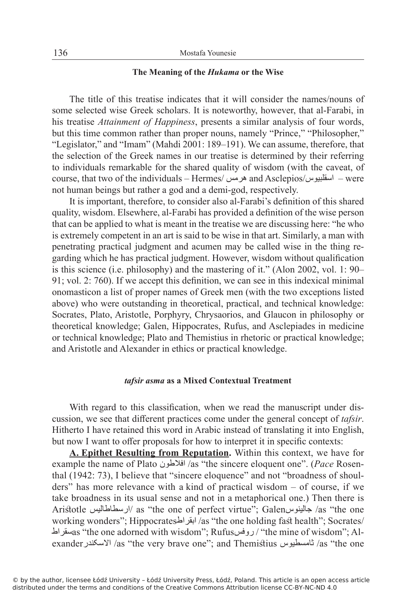## **The Meaning of the** *Hukama* **or the Wise**

The title of this treatise indicates that it will consider the names/nouns of some selected wise Greek scholars. It is noteworthy, however, that al-Farabi, in his treatise *Attainment of Happiness*, presents a similar analysis of four words, but this time common rather than proper nouns, namely "Prince," "Philosopher," "Legislator," and "Imam" (Mahdi 2001: 189–191). We can assume, therefore, that the selection of the Greek names in our treatise is determined by their referring to individuals remarkable for the shared quality of wisdom (with the caveat, of course, that two of the individuals – Hermes/ هرمس and Asclepios/اسقلبیوس – were not human beings but rather a god and a demi-god, respectively.

It is important, therefore, to consider also al-Farabi's definition of this shared quality, wisdom. Elsewhere, al-Farabi has provided a definition of the wise person that can be applied to what is meant in the treatise we are discussing here: "he who is extremely competent in an art is said to be wise in that art. Similarly, a man with penetrating practical judgment and acumen may be called wise in the thing regarding which he has practical judgment. However, wisdom without qualification is this science (i.e. philosophy) and the mastering of it." (Alon 2002, vol. 1: 90– 91; vol. 2: 760). If we accept this definition, we can see in this indexical minimal onomasticon a list of proper names of Greek men (with the two exceptions listed above) who were outstanding in theoretical, practical, and technical knowledge: Socrates, Plato, Aristotle, Porphyry, Chrysaorios, and Glaucon in philosophy or theoretical knowledge; Galen, Hippocrates, Rufus, and Asclepiades in medicine or technical knowledge; Plato and Themistius in rhetoric or practical knowledge; and Aristotle and Alexander in ethics or practical knowledge.

#### *tafsir asma* **as a Mixed Contextual Treatment**

With regard to this classification, when we read the manuscript under discussion, we see that different practices come under the general concept of *tafsir*. Hitherto I have retained this word in Arabic instead of translating it into English, but now I want to offer proposals for how to interpret it in specific contexts:

**A. Epithet Resulting from Reputation.** Within this context, we have for example the name of Plato افالطون /as "the sincere eloquent one". (*Pace* Rosenthal (1942: 73), I believe that "sincere eloquence" and not "broadness of shoulders" has more relevance with a kind of practical wisdom – of course, if we take broadness in its usual sense and not in a metaphorical one.) Then there is Aristotle ارسطاطالیس/ as "the one of perfect virtue"; Galenجالینوس /as "the one working wonders"; Hippocratesابقراط /as "the one holding fast health"; Socrates/ سقراطas "the one adorned with wisdom"; Rufusروفس /" the mine of wisdom"; Alexanderاالسکندر /as "the very brave one"; and Themistius ثامسطیوس /as "the one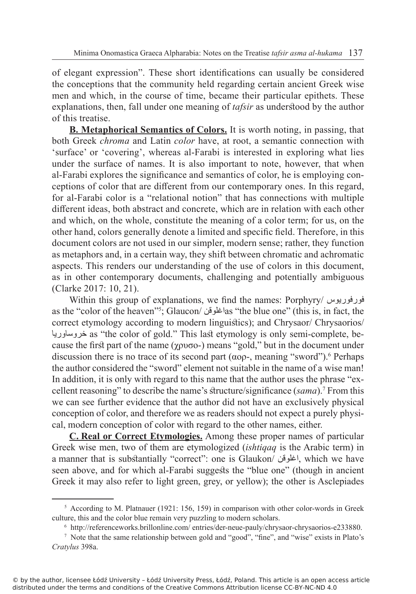of elegant expression". These short identifications can usually be considered the conceptions that the community held regarding certain ancient Greek wise men and which, in the course of time, became their particular epithets. These explanations, then, fall under one meaning of *tafsir* as understood by the author of this treatise.

**B. Metaphorical Semantics of Colors.** It is worth noting, in passing, that both Greek *chroma* and Latin *color* have, at root, a semantic connection with 'surface' or 'covering', whereas al-Farabi is interested in exploring what lies under the surface of names. It is also important to note, however, that when al-Farabi explores the significance and semantics of color, he is employing conceptions of color that are different from our contemporary ones. In this regard, for al-Farabi color is a "relational notion" that has connections with multiple different ideas, both abstract and concrete, which are in relation with each other and which, on the whole, constitute the meaning of a color term; for us, on the other hand, colors generally denote a limited and specific field. Therefore, in this document colors are not used in our simpler, modern sense; rather, they function as metaphors and, in a certain way, they shift between chromatic and achromatic aspects. This renders our understanding of the use of colors in this document, as in other contemporary documents, challenging and potentially ambiguous (Clarke 2017: 10, 21).

Within this group of explanations, we find the names: Porphyry/ فورفوریوس as the ''color of the heaven''<sup>5</sup>; Glaucon/ اغلوقنas ''the blue one'' (this is, in fact, the correct etymology according to modern linguistics); and Chrysaor/ Chrysaorios/ خروساوریا as "the color of gold." This last etymology is only semi-complete, because the first part of the name ( $\gamma \rho \sigma$ ) means "gold," but in the document under discussion there is no trace of its second part ( $\alpha$ o $\rho$ -, meaning "sword").<sup>6</sup> Perhaps the author considered the "sword" element not suitable in the name of a wise man! In addition, it is only with regard to this name that the author uses the phrase "excellent reasoning" to describe the name's structure/significance (*sama*).<sup>7</sup> From this we can see further evidence that the author did not have an exclusively physical conception of color, and therefore we as readers should not expect a purely physical, modern conception of color with regard to the other names, either.

**C. Real or Correct Etymologies.** Among these proper names of particular Greek wise men, two of them are etymologized (*ishtiqaq* is the Arabic term) in a manner that is substantially "correct": one is Glaukon/ اغلوقن, which we have seen above, and for which al-Farabi suggests the "blue one" (though in ancient Greek it may also refer to light green, grey, or yellow); the other is Asclepiades

<sup>&</sup>lt;sup>5</sup> According to M. Platnauer (1921: 156, 159) in comparison with other color-words in Greek culture, this and the color blue remain very puzzling to modern scholars.

<sup>6</sup> http://referenceworks.brillonline.com/ entries/der-neue-pauly/chrysaor-chrysaorios-e233880.

<sup>7</sup> Note that the same relationship between gold and "good", "fine", and "wise" exists in Plato's *Cratylus* 398a.

<sup>©</sup> by the author, licensee Łódź University – Łódź University Press, Łódź, Poland. This article is an open access article distributed under the terms and conditions of the Creative Commons Attribution license CC-BY-NC-ND 4.0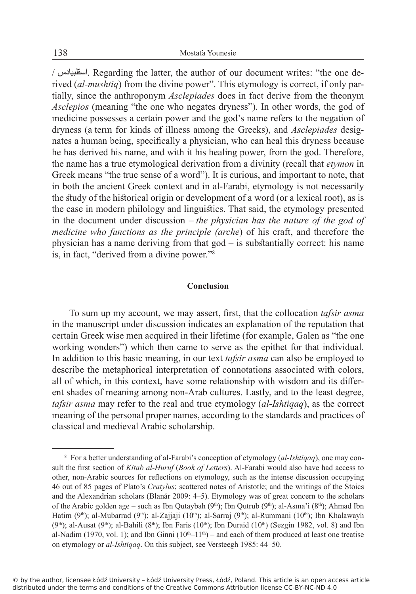/ اسقلبیادس. Regarding the latter, the author of our document writes: "the one derived (*al-mushtiq*) from the divine power". This etymology is correct, if only partially, since the anthroponym *Asclepiades* does in fact derive from the theonym *Asclepios* (meaning "the one who negates dryness"). In other words, the god of medicine possesses a certain power and the god's name refers to the negation of dryness (a term for kinds of illness among the Greeks), and *Asclepiades* designates a human being, specifically a physician, who can heal this dryness because he has derived his name, and with it his healing power, from the god. Therefore, the name has a true etymological derivation from a divinity (recall that *etymon* in Greek means "the true sense of a word"). It is curious, and important to note, that in both the ancient Greek context and in al-Farabi, etymology is not necessarily the study of the historical origin or development of a word (or a lexical root), as is the case in modern philology and linguistics. That said, the etymology presented in the document under discussion – *the physician has the nature of the god of medicine who functions as the principle (arche*) of his craft, and therefore the physician has a name deriving from that god – is substantially correct: his name is, in fact, "derived from a divine power."<sup>8</sup>

## **Conclusion**

To sum up my account, we may assert, first, that the collocation *tafsir asma* in the manuscript under discussion indicates an explanation of the reputation that certain Greek wise men acquired in their lifetime (for example, Galen as "the one working wonders") which then came to serve as the epithet for that individual. In addition to this basic meaning, in our text *tafsir asma* can also be employed to describe the metaphorical interpretation of connotations associated with colors, all of which, in this context, have some relationship with wisdom and its different shades of meaning among non-Arab cultures. Lastly, and to the least degree, *tafsir asma* may refer to the real and true etymology (*al-Ishtiqaq*), as the correct meaning of the personal proper names, according to the standards and practices of classical and medieval Arabic scholarship.

<sup>8</sup> For a better understanding of al-Farabi's conception of etymology (*al-Ishtiqaq*), one may consult the first section of *Kitab al-Huruf* (*Book of Letters*). Al-Farabi would also have had access to other, non-Arabic sources for reflections on etymology, such as the intense discussion occupying 46 out of 85 pages of Plato's *Cratylus*; scattered notes of Aristotle; and the writings of the Stoics and the Alexandrian scholars (Blanár 2009: 4–5). Etymology was of great concern to the scholars of the Arabic golden age – such as Ibn Qutaybah ( $9<sup>th</sup>$ ); Ibn Qutrub ( $9<sup>th</sup>$ ); al-Asma'i ( $8<sup>th</sup>$ ); Ahmad Ibn Hatim (9<sup>th</sup>); al-Mubarrad (9<sup>th</sup>); al-Zajjaji (10<sup>th</sup>); al-Sarraj (9<sup>th</sup>); al-Rummani (10<sup>th</sup>); Ibn Khalawayh  $(9<sup>th</sup>)$ ; al-Ausat  $(9<sup>th</sup>)$ ; al-Bahili  $(8<sup>th</sup>)$ ; Ibn Faris  $(10<sup>th</sup>)$ ; Ibn Duraid  $(10<sup>th</sup>)$  (Sezgin 1982, vol. 8) and Ibn al-Nadim (1970, vol. 1); and Ibn Ginni  $(10<sup>th</sup>-11<sup>th</sup>)$  – and each of them produced at least one treatise on etymology or *al-Ishtiqaq*. On this subject, see Versteegh 1985: 44–50.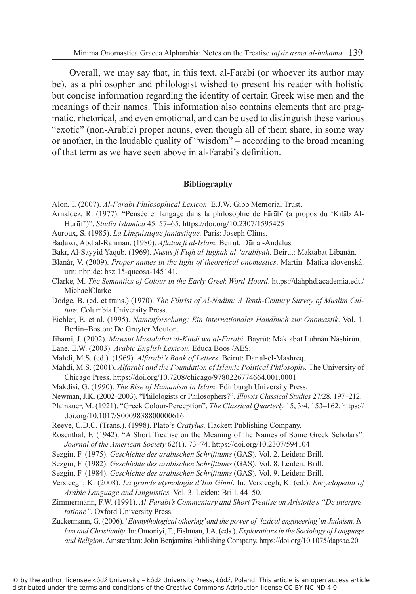Overall, we may say that, in this text, al-Farabi (or whoever its author may be), as a philosopher and philologist wished to present his reader with holistic but concise information regarding the identity of certain Greek wise men and the meanings of their names. This information also contains elements that are pragmatic, rhetorical, and even emotional, and can be used to distinguish these various "exotic" (non-Arabic) proper nouns, even though all of them share, in some way or another, in the laudable quality of "wisdom" – according to the broad meaning of that term as we have seen above in al-Farabi's definition.

## **Bibliography**

Alon, I. (2007). *Al-Farabi Philosophical Lexicon*. E.J.W. Gibb Memorial Trust.

- Arnaldez, R. (1977). "Pensée et langage dans la philosophie de Fārābī (a propos du 'Kitāb Al-Ḥurūf')". *Studia Islamica* 45. 57–65. https://doi.org/10.2307/1595425
- Auroux, S*.* (1985). *La Linguistique fantastique.* Paris: Joseph Clims.
- Badawi, Abd al-Rahman. (1980). *Aflatun fi al-Islam.* Beirut: Dār al-Andalus.
- Bakr, Al-Sayyid Yaqub. (1969). *Nusus fi Fiqh al-lughah al-ʻarabīyah*. Beirut: Maktabat Libanān.
- Blanár, V. (2009). *Proper names in the light of theoretical onomastics*. Martin: Matica slovenská. urn: nbn:de: bsz:15-qucosa-145141.
- Clarke, M. *The Semantics of Colour in the Early Greek Word-Hoard*. https://dahphd.academia.edu/ MichaelClarke
- Dodge, B. (ed. et trans.) (1970). *The Fihrist of Al-Nadim: A Tenth-Century Survey of Muslim Culture*. Columbia University Press.
- Eichler, E. et al. (1995). *Namenforschung: Ein internationales Handbuch zur Onomastik*. Vol. 1. Berlin–Boston: De Gruyter Mouton.
- Jihami, J. (2002). *Mawsut Mustalahat al-Kindi wa al-Farabi*. Bayrūt: Maktabat Lubnān Nāshirūn.
- Lane, E.W. (2003). *Arabic English Lexicon.* Educa Boos /AES.
- Mahdi, M.S. (ed.). (1969). *Alfarabi's Book of Letters*. Beirut: Dar al-el-Mashreq.
- Mahdi, M.S. (2001). *Alfarabi and the Foundation of Islamic Political Philosophy.* The University of Chicago Press. https://doi.org/10.7208/chicago/9780226774664.001.0001
- Makdisi, G. (1990). *The Rise of Humanism in Islam*. Edinburgh University Press.
- Newman, J.K. (2002–2003). "Philologists or Philosophers?". *Illinois Classical Studies* 27/28. 197–212.
- Platnauer, M. (1921). "Greek Colour-Perception". *The Classical Quarterly* 15, 3/4. 153–162. https:// doi.org/10.1017/S0009838800000616
- Reeve, C.D.C. (Trans.). (1998). Plato's *Cratylus.* Hackett Publishing Company.
- Rosenthal, F. (1942). "A Short Treatise on the Meaning of the Names of Some Greek Scholars". *Journal of the American Society* 62(1). 73–74. https://doi.org/10.2307/594104
- Sezgin, F. (1975). *Geschichte des arabischen Schrifttums* (GAS)*.* Vol. 2. Leiden: Brill.
- Sezgin, F. (1982). *Geschichte des arabischen Schrifttums* (GAS)*.* Vol. 8. Leiden: Brill.
- Sezgin, F. (1984). *Geschichte des arabischen Schrifttums* (GAS)*.* Vol. 9. Leiden: Brill.
- Versteegh, K. (2008). *La grande etymologie d'Ibn Ginni*. In: Versteegh, K. (ed.). *Encyclopedia of Arabic Language and Linguistics.* Vol. 3. Leiden: Brill. 44–50.
- Zimmermann, F.W. (1991). *Al-Farabi's Commentary and Short Treatise on Aristotle's "De interpretatione"*. Oxford University Press.
- Zuckermann, G. (2006). '*Etymythological othering' and the power of 'lexical engineering' in Judaism, Islam and Christianity*. In: Omoniyi, T., Fishman, J.A. (eds.). *Explorations in the Sociology of Language and Religion*. Amsterdam: John Benjamins Publishing Company. https://doi.org/10.1075/dapsac.20